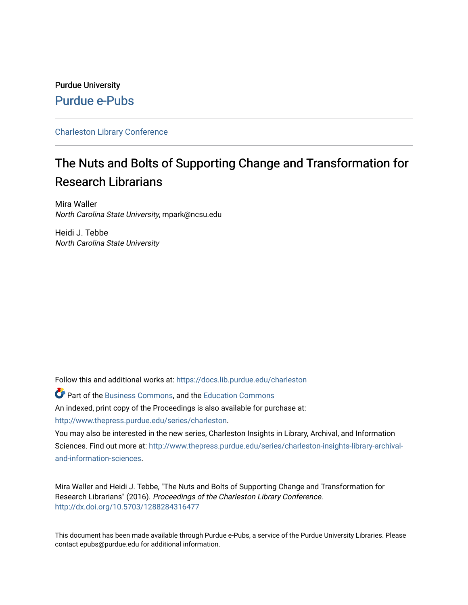# Purdue University [Purdue e-Pubs](https://docs.lib.purdue.edu/)

# [Charleston Library Conference](https://docs.lib.purdue.edu/charleston)

# The Nuts and Bolts of Supporting Change and Transformation for Research Librarians

Mira Waller North Carolina State University, mpark@ncsu.edu

Heidi J. Tebbe North Carolina State University

Follow this and additional works at: [https://docs.lib.purdue.edu/charleston](https://docs.lib.purdue.edu/charleston?utm_source=docs.lib.purdue.edu%2Fcharleston%2F2016%2Fprodev%2F3&utm_medium=PDF&utm_campaign=PDFCoverPages) 

**P** Part of the [Business Commons](http://network.bepress.com/hgg/discipline/622?utm_source=docs.lib.purdue.edu%2Fcharleston%2F2016%2Fprodev%2F3&utm_medium=PDF&utm_campaign=PDFCoverPages), and the [Education Commons](http://network.bepress.com/hgg/discipline/784?utm_source=docs.lib.purdue.edu%2Fcharleston%2F2016%2Fprodev%2F3&utm_medium=PDF&utm_campaign=PDFCoverPages) An indexed, print copy of the Proceedings is also available for purchase at: [http://www.thepress.purdue.edu/series/charleston.](http://www.thepress.purdue.edu/series/charleston)

You may also be interested in the new series, Charleston Insights in Library, Archival, and Information Sciences. Find out more at: [http://www.thepress.purdue.edu/series/charleston-insights-library-archival](http://www.thepress.purdue.edu/series/charleston-insights-library-archival-and-information-sciences)[and-information-sciences](http://www.thepress.purdue.edu/series/charleston-insights-library-archival-and-information-sciences).

Mira Waller and Heidi J. Tebbe, "The Nuts and Bolts of Supporting Change and Transformation for Research Librarians" (2016). Proceedings of the Charleston Library Conference. <http://dx.doi.org/10.5703/1288284316477>

This document has been made available through Purdue e-Pubs, a service of the Purdue University Libraries. Please contact epubs@purdue.edu for additional information.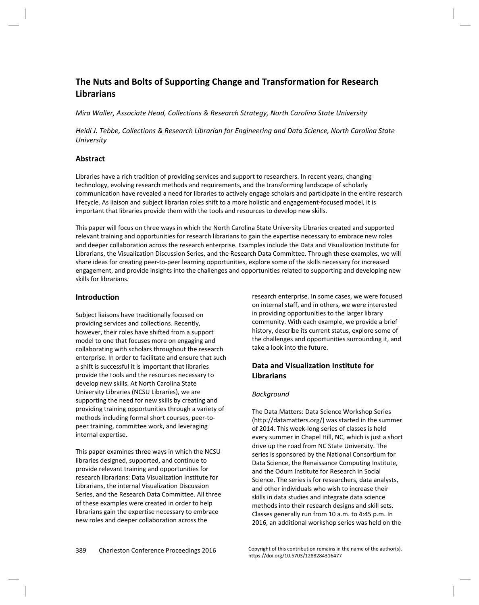# **The Nuts and Bolts of Supporting Change and Transformation for Research Librarians**

*Mira Waller, Associate Head, Collections & Research Strategy, North Carolina State University* 

*Heidi J. Tebbe, Collections & Research Librarian for Engineering and Data Science, North Carolina State University* 

# **Abstract**

Libraries have a rich tradition of providing services and support to researchers. In recent years, changing technology, evolving research methods and requirements, and the transforming landscape of scholarly communication have revealed a need for libraries to actively engage scholars and participate in the entire research lifecycle. As liaison and subject librarian roles shift to a more holistic and engagement-focused model, it is important that libraries provide them with the tools and resources to develop new skills.

This paper will focus on three ways in which the North Carolina State University Libraries created and supported relevant training and opportunities for research librarians to gain the expertise necessary to embrace new roles and deeper collaboration across the research enterprise. Examples include the Data and Visualization Institute for Librarians, the Visualization Discussion Series, and the Research Data Committee. Through these examples, we will share ideas for creating peer-to-peer learning opportunities, explore some of the skills necessary for increased engagement, and provide insights into the challenges and opportunities related to supporting and developing new skills for librarians.

# **Introduction**

Subject liaisons have traditionally focused on providing services and collections. Recently, however, their roles have shifted from a support model to one that focuses more on engaging and collaborating with scholars throughout the research enterprise. In order to facilitate and ensure that such a shift is successful it is important that libraries provide the tools and the resources necessary to develop new skills. At North Carolina State University Libraries (NCSU Libraries), we are supporting the need for new skills by creating and providing training opportunities through a variety of methods including formal short courses, peer-topeer training, committee work, and leveraging internal expertise.

This paper examines three ways in which the NCSU libraries designed, supported, and continue to provide relevant training and opportunities for research librarians: Data Visualization Institute for Librarians, the internal Visualization Discussion Series, and the Research Data Committee. All three of these examples were created in order to help librarians gain the expertise necessary to embrace new roles and deeper collaboration across the

research enterprise. In some cases, we were focused on internal staff, and in others, we were interested in providing opportunities to the larger library community. With each example, we provide a brief history, describe its current status, explore some of the challenges and opportunities surrounding it, and take a look into the future.

# **Data and Visualization Institute for Librarians**

# *Background*

The Data Matters: Data Science Workshop Series (<http://datamatters.org/>) was started in the summer of 2014. This week-long series of classes is held every summer in Chapel Hill, NC, which is just a short drive up the road from NC State University. The series is sponsored by the National Consortium for Data Science, the Renaissance Computing Institute, and the Odum Institute for Research in Social Science. The series is for researchers, data analysts, and other individuals who wish to increase their skills in data studies and integrate data science methods into their research designs and skill sets. Classes generally run from 10 a.m. to 4:45 p.m. In 2016, an additional workshop series was held on the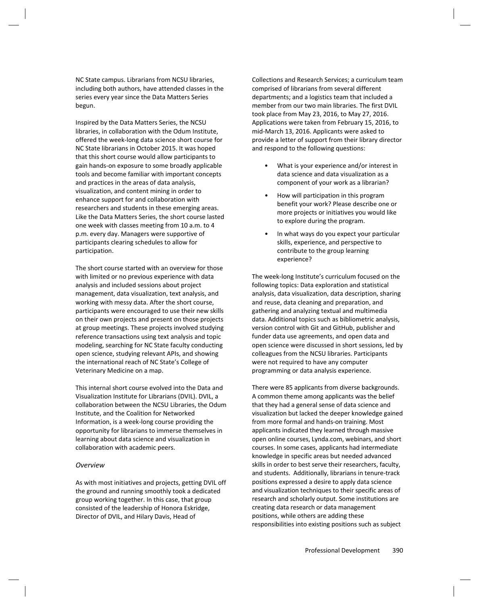NC State campus. Librarians from NCSU libraries, including both authors, have attended classes in the series every year since the Data Matters Series begun.

Inspired by the Data Matters Series, the NCSU libraries, in collaboration with the Odum Institute, offered the week-long data science short course for NC State librarians in October 2015. It was hoped that this short course would allow participants to gain hands-on exposure to some broadly applicable tools and become familiar with important concepts and practices in the areas of data analysis, visualization, and content mining in order to enhance support for and collaboration with researchers and students in these emerging areas. Like the Data Matters Series, the short course lasted one week with classes meeting from 10 a.m. to 4 p.m. every day. Managers were supportive of participants clearing schedules to allow for participation.

The short course started with an overview for those with limited or no previous experience with data analysis and included sessions about project management, data visualization, text analysis, and working with messy data. After the short course, participants were encouraged to use their new skills on their own projects and present on those projects at group meetings. These projects involved studying reference transactions using text analysis and topic modeling, searching for NC State faculty conducting open science, studying relevant APIs, and showing the international reach of NC State's College of Veterinary Medicine on a map.

This internal short course evolved into the Data and Visualization Institute for Librarians (DVIL). DVIL, a collaboration between the NCSU Libraries, the Odum Institute, and the Coalition for Networked Information, is a week-long course providing the opportunity for librarians to immerse themselves in learning about data science and visualization in collaboration with academic peers.

#### *Overview*

As with most initiatives and projects, getting DVIL off the ground and running smoothly took a dedicated group working together. In this case, that group consisted of the leadership of Honora Eskridge, Director of DVIL, and Hilary Davis, Head of

Collections and Research Services; a curriculum team comprised of librarians from several different departments; and a logistics team that included a member from our two main libraries. The first DVIL took place from May 23, 2016, to May 27, 2016. Applications were taken from February 15, 2016, to mid-March 13, 2016. Applicants were asked to provide a letter of support from their library director and respond to the following questions:

- What is your experience and/or interest in data science and data visualization as a component of your work as a librarian?
- How will participation in this program benefit your work? Please describe one or more projects or initiatives you would like to explore during the program.
- In what ways do you expect your particular skills, experience, and perspective to contribute to the group learning experience?

The week-long Institute's curriculum focused on the following topics: Data exploration and statistical analysis, data visualization, data description, sharing and reuse, data cleaning and preparation, and gathering and analyzing textual and multimedia data. Additional topics such as bibliometric analysis, version control with Git and GitHub, publisher and funder data use agreements, and open data and open science were discussed in short sessions, led by colleagues from the NCSU libraries. Participants were not required to have any computer programming or data analysis experience.

There were 85 applicants from diverse backgrounds. A common theme among applicants was the belief that they had a general sense of data science and visualization but lacked the deeper knowledge gained from more formal and hands-on training. Most applicants indicated they learned through massive open online courses, Lynda.com, webinars, and short courses. In some cases, applicants had intermediate knowledge in specific areas but needed advanced skills in order to best serve their researchers, faculty, and students. Additionally, librarians in tenure-track positions expressed a desire to apply data science and visualization techniques to their specific areas of research and scholarly output. Some institutions are creating data research or data management positions, while others are adding these responsibilities into existing positions such as subject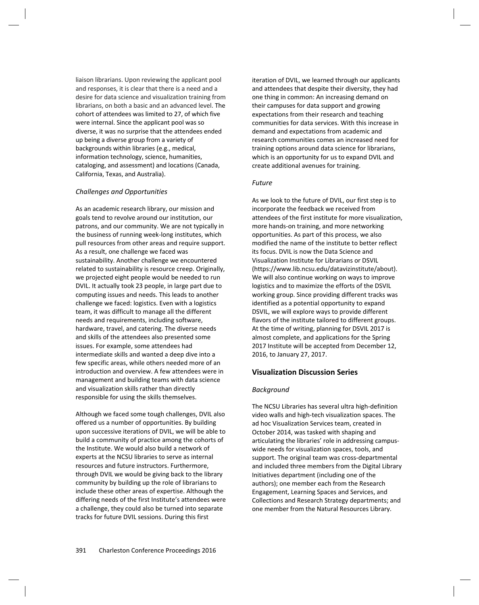liaison librarians. Upon reviewing the applicant pool and responses, it is clear that there is a need and a desire for data science and visualization training from librarians, on both a basic and an advanced level. The cohort of attendees was limited to 27, of which five were internal. Since the applicant pool was so diverse, it was no surprise that the attendees ended up being a diverse group from a variety of backgrounds within libraries (e.g., medical, information technology, science, humanities, cataloging, and assessment) and locations (Canada, California, Texas, and Australia).

#### *Challenges and Opportunities*

As an academic research library, our mission and goals tend to revolve around our institution, our patrons, and our community. We are not typically in the business of running week-long institutes, which pull resources from other areas and require support. As a result, one challenge we faced was sustainability. Another challenge we encountered related to sustainability is resource creep. Originally, we projected eight people would be needed to run DVIL. It actually took 23 people, in large part due to computing issues and needs. This leads to another challenge we faced: logistics. Even with a logistics team, it was difficult to manage all the different needs and requirements, including software, hardware, travel, and catering. The diverse needs and skills of the attendees also presented some issues. For example, some attendees had intermediate skills and wanted a deep dive into a few specific areas, while others needed more of an introduction and overview. A few attendees were in management and building teams with data science and visualization skills rather than directly responsible for using the skills themselves.

Although we faced some tough challenges, DVIL also offered us a number of opportunities. By building upon successive iterations of DVIL, we will be able to build a community of practice among the cohorts of the Institute. We would also build a network of experts at the NCSU libraries to serve as internal resources and future instructors. Furthermore, through DVIL we would be giving back to the library community by building up the role of librarians to include these other areas of expertise. Although the differing needs of the first Institute's attendees were a challenge, they could also be turned into separate tracks for future DVIL sessions. During this first

iteration of DVIL, we learned through our applicants and attendees that despite their diversity, they had one thing in common: An increasing demand on their campuses for data support and growing expectations from their research and teaching communities for data services. With this increase in demand and expectations from academic and research communities comes an increased need for training options around data science for librarians, which is an opportunity for us to expand DVIL and create additional avenues for training.

#### *Future*

As we look to the future of DVIL, our first step is to incorporate the feedback we received from attendees of the first institute for more visualization, more hands-on training, and more networking opportunities. As part of this process, we also modified the name of the institute to better reflect its focus. DVIL is now the Data Science and Visualization Institute for Librarians or DSVIL (<https://www.lib.ncsu.edu/datavizinstitute/about>). We will also continue working on ways to improve logistics and to maximize the efforts of the DSVIL working group. Since providing different tracks was identified as a potential opportunity to expand DSVIL, we will explore ways to provide different flavors of the institute tailored to different groups. At the time of writing, planning for DSVIL 2017 is almost complete, and applications for the Spring 2017 Institute will be accepted from December 12, 2016, to January 27, 2017.

# **Visualization Discussion Series**

# *Background*

The NCSU Libraries has several ultra high-definition video walls and high-tech visualization spaces. The ad hoc Visualization Services team, created in October 2014, was tasked with shaping and articulating the libraries' role in addressing campuswide needs for visualization spaces, tools, and support. The original team was cross-departmental and included three members from the Digital Library Initiatives department (including one of the authors); one member each from the Research Engagement, Learning Spaces and Services, and Collections and Research Strategy departments; and one member from the Natural Resources Library.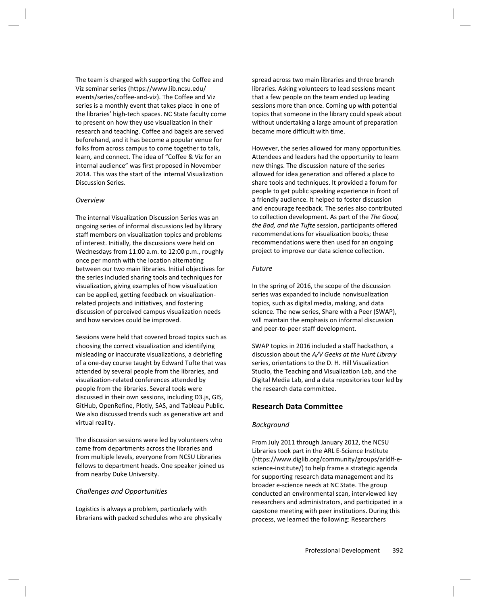The team is charged with supporting the Coffee and Viz seminar series ([https://www.lib.ncsu.edu/](https://www.lib.ncsu.edu/events/series/coffee-and-viz)  [events/series/coffee-and-viz](https://www.lib.ncsu.edu/events/series/coffee-and-viz)). The Coffee and Viz series is a monthly event that takes place in one of the libraries' high-tech spaces. NC State faculty come to present on how they use visualization in their research and teaching. Coffee and bagels are served beforehand, and it has become a popular venue for folks from across campus to come together to talk, learn, and connect. The idea of "Coffee & Viz for an internal audience" was first proposed in November 2014. This was the start of the internal Visualization Discussion Series.

#### *Overview*

The internal Visualization Discussion Series was an ongoing series of informal discussions led by library staff members on visualization topics and problems of interest. Initially, the discussions were held on Wednesdays from 11:00 a.m. to 12:00 p.m., roughly once per month with the location alternating between our two main libraries. Initial objectives for the series included sharing tools and techniques for visualization, giving examples of how visualization can be applied, getting feedback on visualizationrelated projects and initiatives, and fostering discussion of perceived campus visualization needs and how services could be improved.

Sessions were held that covered broad topics such as choosing the correct visualization and identifying misleading or inaccurate visualizations, a debriefing of a one-day course taught by Edward Tufte that was attended by several people from the libraries, and visualization-related conferences attended by people from the libraries. Several tools were discussed in their own sessions, including D3.js, GIS, GitHub, OpenRefine, Plotly, SAS, and Tableau Public. We also discussed trends such as generative art and virtual reality.

The discussion sessions were led by volunteers who came from departments across the libraries and from multiple levels, everyone from NCSU Libraries fellows to department heads. One speaker joined us from nearby Duke University.

#### *Challenges and Opportunities*

Logistics is always a problem, particularly with librarians with packed schedules who are physically spread across two main libraries and three branch libraries. Asking volunteers to lead sessions meant that a few people on the team ended up leading sessions more than once. Coming up with potential topics that someone in the library could speak about without undertaking a large amount of preparation became more difficult with time.

However, the series allowed for many opportunities. Attendees and leaders had the opportunity to learn new things. The discussion nature of the series allowed for idea generation and offered a place to share tools and techniques. It provided a forum for people to get public speaking experience in front of a friendly audience. It helped to foster discussion and encourage feedback. The series also contributed to collection development. As part of the *The Good, the Bad, and the Tufte* session, participants offered recommendations for visualization books; these recommendations were then used for an ongoing project to improve our data science collection.

#### *Future*

In the spring of 2016, the scope of the discussion series was expanded to include nonvisualization topics, such as digital media, making, and data science. The new series, Share with a Peer (SWAP), will maintain the emphasis on informal discussion and peer-to-peer staff development.

SWAP topics in 2016 included a staff hackathon, a discussion about the *A/V Geeks at the Hunt Library* series, orientations to the D. H. Hill Visualization Studio, the Teaching and Visualization Lab, and the Digital Media Lab, and a data repositories tour led by the research data committee.

#### **Research Data Committee**

#### *Background*

From July 2011 through January 2012, the NCSU Libraries took part in the ARL E-Science Institute [\(https://www.diglib.org/community/groups/arldlf-e](https://www.diglib.org/community/groups/arldlf-e-science-institute/)[science-institute/\)](https://www.diglib.org/community/groups/arldlf-e-science-institute/) to help frame a strategic agenda for supporting research data management and its broader e-science needs at NC State. The group conducted an environmental scan, interviewed key researchers and administrators, and participated in a capstone meeting with peer institutions. During this process, we learned the following: Researchers